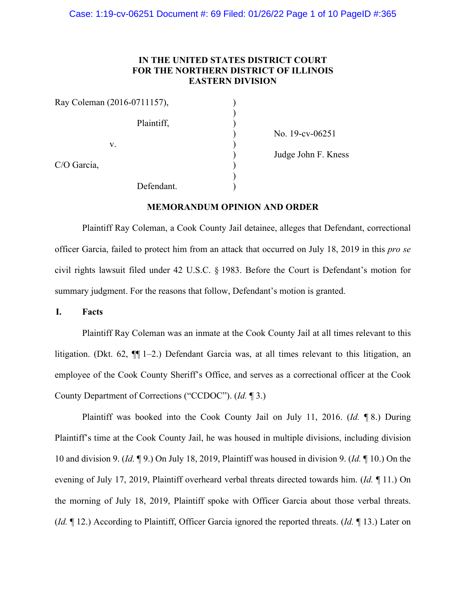# **IN THE UNITED STATES DISTRICT COURT FOR THE NORTHERN DISTRICT OF ILLINOIS EASTERN DIVISION**

| Ray Coleman (2016-0711157), |            |  |
|-----------------------------|------------|--|
|                             | Plaintiff, |  |
| V.                          |            |  |
| C/O Garcia,                 |            |  |
|                             | Defendant. |  |

 ) No. 19-cv-06251 ) Judge John F. Kness

# **MEMORANDUM OPINION AND ORDER**

 Plaintiff Ray Coleman, a Cook County Jail detainee, alleges that Defendant, correctional officer Garcia, failed to protect him from an attack that occurred on July 18, 2019 in this *pro se*  civil rights lawsuit filed under 42 U.S.C. § 1983. Before the Court is Defendant's motion for summary judgment. For the reasons that follow, Defendant's motion is granted.

**I. Facts** 

Plaintiff Ray Coleman was an inmate at the Cook County Jail at all times relevant to this litigation. (Dkt. 62, ¶¶ 1–2.) Defendant Garcia was, at all times relevant to this litigation, an employee of the Cook County Sheriff's Office, and serves as a correctional officer at the Cook County Department of Corrections ("CCDOC"). (*Id.* ¶ 3.)

Plaintiff was booked into the Cook County Jail on July 11, 2016. (*Id.* ¶ 8.) During Plaintiff's time at the Cook County Jail, he was housed in multiple divisions, including division 10 and division 9. (*Id.* ¶ 9.) On July 18, 2019, Plaintiff was housed in division 9. (*Id.* ¶ 10.) On the evening of July 17, 2019, Plaintiff overheard verbal threats directed towards him. (*Id.* ¶ 11.) On the morning of July 18, 2019, Plaintiff spoke with Officer Garcia about those verbal threats. (*Id.* ¶ 12.) According to Plaintiff, Officer Garcia ignored the reported threats. (*Id.* ¶ 13.) Later on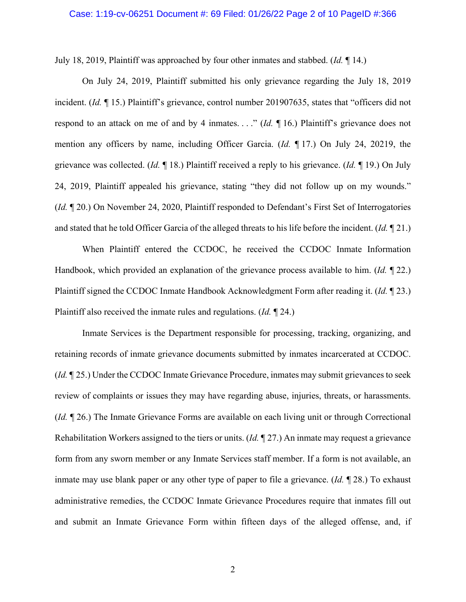#### Case: 1:19-cv-06251 Document #: 69 Filed: 01/26/22 Page 2 of 10 PageID #:366

July 18, 2019, Plaintiff was approached by four other inmates and stabbed. (*Id.* ¶ 14.)

On July 24, 2019, Plaintiff submitted his only grievance regarding the July 18, 2019 incident. (*Id.* ¶ 15.) Plaintiff's grievance, control number 201907635, states that "officers did not respond to an attack on me of and by 4 inmates. . . ." (*Id.* ¶ 16.) Plaintiff's grievance does not mention any officers by name, including Officer Garcia. (*Id.* ¶ 17.) On July 24, 20219, the grievance was collected. (*Id.* ¶ 18.) Plaintiff received a reply to his grievance. (*Id.* ¶ 19.) On July 24, 2019, Plaintiff appealed his grievance, stating "they did not follow up on my wounds." (*Id.* ¶ 20.) On November 24, 2020, Plaintiff responded to Defendant's First Set of Interrogatories and stated that he told Officer Garcia of the alleged threats to his life before the incident. (*Id.* ¶ 21.)

When Plaintiff entered the CCDOC, he received the CCDOC Inmate Information Handbook, which provided an explanation of the grievance process available to him. (*Id.* ¶ 22.) Plaintiff signed the CCDOC Inmate Handbook Acknowledgment Form after reading it. (*Id.* ¶ 23.) Plaintiff also received the inmate rules and regulations. (*Id.* ¶ 24.)

Inmate Services is the Department responsible for processing, tracking, organizing, and retaining records of inmate grievance documents submitted by inmates incarcerated at CCDOC. (*Id.* ¶ 25.) Under the CCDOC Inmate Grievance Procedure, inmates may submit grievances to seek review of complaints or issues they may have regarding abuse, injuries, threats, or harassments. (*Id.* ¶ 26.) The Inmate Grievance Forms are available on each living unit or through Correctional Rehabilitation Workers assigned to the tiers or units. (*Id.* ¶ 27.) An inmate may request a grievance form from any sworn member or any Inmate Services staff member. If a form is not available, an inmate may use blank paper or any other type of paper to file a grievance. (*Id.* ¶ 28.) To exhaust administrative remedies, the CCDOC Inmate Grievance Procedures require that inmates fill out and submit an Inmate Grievance Form within fifteen days of the alleged offense, and, if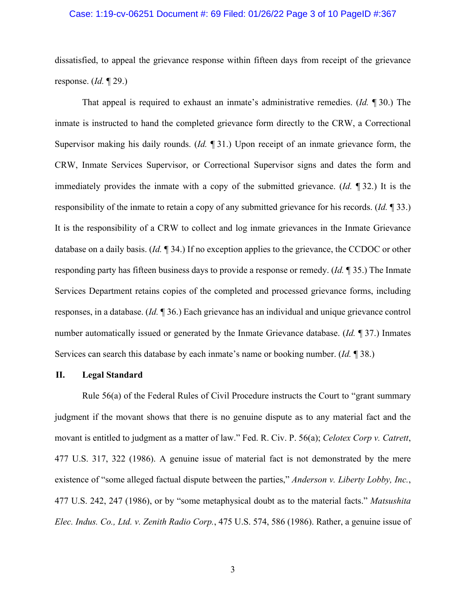# Case: 1:19-cv-06251 Document #: 69 Filed: 01/26/22 Page 3 of 10 PageID #:367

dissatisfied, to appeal the grievance response within fifteen days from receipt of the grievance response. (*Id.* ¶ 29.)

That appeal is required to exhaust an inmate's administrative remedies. (*Id.* ¶ 30.) The inmate is instructed to hand the completed grievance form directly to the CRW, a Correctional Supervisor making his daily rounds. (*Id.* ¶ 31.) Upon receipt of an inmate grievance form, the CRW, Inmate Services Supervisor, or Correctional Supervisor signs and dates the form and immediately provides the inmate with a copy of the submitted grievance. (*Id.* ¶ 32.) It is the responsibility of the inmate to retain a copy of any submitted grievance for his records. (*Id.* ¶ 33.) It is the responsibility of a CRW to collect and log inmate grievances in the Inmate Grievance database on a daily basis. (*Id.* ¶ 34.) If no exception applies to the grievance, the CCDOC or other responding party has fifteen business days to provide a response or remedy. (*Id.* ¶ 35.) The Inmate Services Department retains copies of the completed and processed grievance forms, including responses, in a database. (*Id.* ¶ 36.) Each grievance has an individual and unique grievance control number automatically issued or generated by the Inmate Grievance database. (*Id.* ¶ 37.) Inmates Services can search this database by each inmate's name or booking number. (*Id.* ¶ 38.)

#### **II. Legal Standard**

Rule 56(a) of the Federal Rules of Civil Procedure instructs the Court to "grant summary judgment if the movant shows that there is no genuine dispute as to any material fact and the movant is entitled to judgment as a matter of law." Fed. R. Civ. P. 56(a); *Celotex Corp v. Catrett*, 477 U.S. 317, 322 (1986). A genuine issue of material fact is not demonstrated by the mere existence of "some alleged factual dispute between the parties," *Anderson v. Liberty Lobby, Inc.*, 477 U.S. 242, 247 (1986), or by "some metaphysical doubt as to the material facts." *Matsushita Elec. Indus. Co., Ltd. v. Zenith Radio Corp.*, 475 U.S. 574, 586 (1986). Rather, a genuine issue of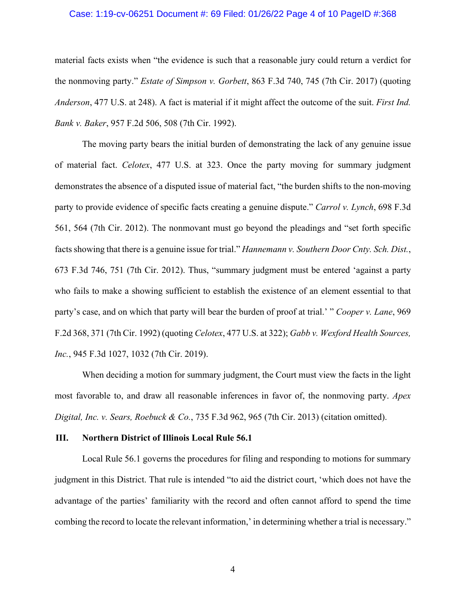# Case: 1:19-cv-06251 Document #: 69 Filed: 01/26/22 Page 4 of 10 PageID #:368

material facts exists when "the evidence is such that a reasonable jury could return a verdict for the nonmoving party." *Estate of Simpson v. Gorbett*, 863 F.3d 740, 745 (7th Cir. 2017) (quoting *Anderson*, 477 U.S. at 248). A fact is material if it might affect the outcome of the suit. *First Ind. Bank v. Baker*, 957 F.2d 506, 508 (7th Cir. 1992).

The moving party bears the initial burden of demonstrating the lack of any genuine issue of material fact. *Celotex*, 477 U.S. at 323. Once the party moving for summary judgment demonstrates the absence of a disputed issue of material fact, "the burden shifts to the non-moving party to provide evidence of specific facts creating a genuine dispute." *Carrol v. Lynch*, 698 F.3d 561, 564 (7th Cir. 2012). The nonmovant must go beyond the pleadings and "set forth specific facts showing that there is a genuine issue for trial." *Hannemann v. Southern Door Cnty. Sch. Dist.*, 673 F.3d 746, 751 (7th Cir. 2012). Thus, "summary judgment must be entered 'against a party who fails to make a showing sufficient to establish the existence of an element essential to that party's case, and on which that party will bear the burden of proof at trial.' " *Cooper v. Lane*, 969 F.2d 368, 371 (7th Cir. 1992) (quoting *Celotex*, 477 U.S. at 322); *Gabb v. Wexford Health Sources, Inc.*, 945 F.3d 1027, 1032 (7th Cir. 2019).

When deciding a motion for summary judgment, the Court must view the facts in the light most favorable to, and draw all reasonable inferences in favor of, the nonmoving party. *Apex Digital, Inc. v. Sears, Roebuck & Co.*, 735 F.3d 962, 965 (7th Cir. 2013) (citation omitted).

#### **III. Northern District of Illinois Local Rule 56.1**

Local Rule 56.1 governs the procedures for filing and responding to motions for summary judgment in this District. That rule is intended "to aid the district court, 'which does not have the advantage of the parties' familiarity with the record and often cannot afford to spend the time combing the record to locate the relevant information,' in determining whether a trial is necessary."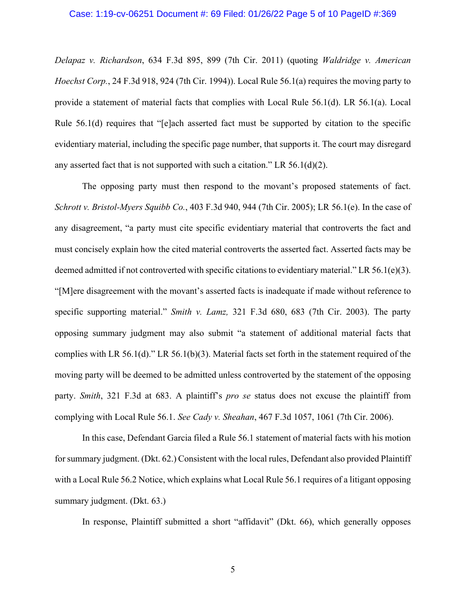*Delapaz v. Richardson*, 634 F.3d 895, 899 (7th Cir. 2011) (quoting *Waldridge v. American Hoechst Corp.*, 24 F.3d 918, 924 (7th Cir. 1994)). Local Rule 56.1(a) requires the moving party to provide a statement of material facts that complies with Local Rule 56.1(d). LR 56.1(a). Local Rule 56.1(d) requires that "[e]ach asserted fact must be supported by citation to the specific evidentiary material, including the specific page number, that supports it. The court may disregard any asserted fact that is not supported with such a citation." LR  $56.1(d)(2)$ .

The opposing party must then respond to the movant's proposed statements of fact. *Schrott v. Bristol-Myers Squibb Co.*, 403 F.3d 940, 944 (7th Cir. 2005); LR 56.1(e). In the case of any disagreement, "a party must cite specific evidentiary material that controverts the fact and must concisely explain how the cited material controverts the asserted fact. Asserted facts may be deemed admitted if not controverted with specific citations to evidentiary material." LR  $56.1(e)(3)$ . "[M]ere disagreement with the movant's asserted facts is inadequate if made without reference to specific supporting material." *Smith v. Lamz,* 321 F.3d 680, 683 (7th Cir. 2003). The party opposing summary judgment may also submit "a statement of additional material facts that complies with LR 56.1(d)." LR 56.1(b)(3). Material facts set forth in the statement required of the moving party will be deemed to be admitted unless controverted by the statement of the opposing party. *Smith*, 321 F.3d at 683. A plaintiff's *pro se* status does not excuse the plaintiff from complying with Local Rule 56.1. *See Cady v. Sheahan*, 467 F.3d 1057, 1061 (7th Cir. 2006).

In this case, Defendant Garcia filed a Rule 56.1 statement of material facts with his motion for summary judgment. (Dkt. 62.) Consistent with the local rules, Defendant also provided Plaintiff with a Local Rule 56.2 Notice, which explains what Local Rule 56.1 requires of a litigant opposing summary judgment. (Dkt. 63.)

In response, Plaintiff submitted a short "affidavit" (Dkt. 66), which generally opposes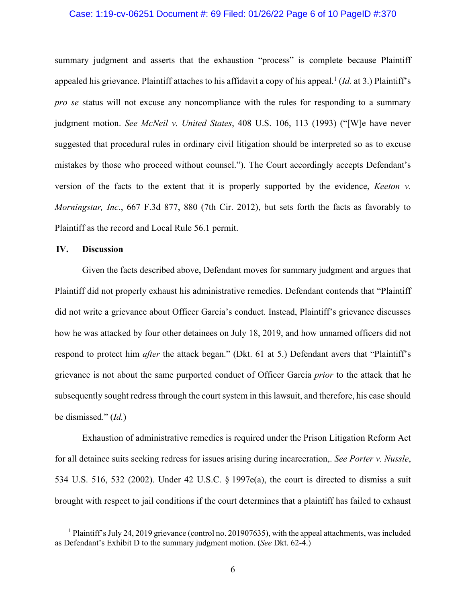# Case: 1:19-cv-06251 Document #: 69 Filed: 01/26/22 Page 6 of 10 PageID #:370

summary judgment and asserts that the exhaustion "process" is complete because Plaintiff appealed his grievance. Plaintiff attaches to his affidavit a copy of his appeal.<sup>1</sup> (*Id.* at 3.) Plaintiff's *pro se* status will not excuse any noncompliance with the rules for responding to a summary judgment motion. *See McNeil v. United States*, 408 U.S. 106, 113 (1993) ("[W]e have never suggested that procedural rules in ordinary civil litigation should be interpreted so as to excuse mistakes by those who proceed without counsel."). The Court accordingly accepts Defendant's version of the facts to the extent that it is properly supported by the evidence, *Keeton v. Morningstar, Inc*., 667 F.3d 877, 880 (7th Cir. 2012), but sets forth the facts as favorably to Plaintiff as the record and Local Rule 56.1 permit.

#### **IV. Discussion**

Given the facts described above, Defendant moves for summary judgment and argues that Plaintiff did not properly exhaust his administrative remedies. Defendant contends that "Plaintiff did not write a grievance about Officer Garcia's conduct. Instead, Plaintiff's grievance discusses how he was attacked by four other detainees on July 18, 2019, and how unnamed officers did not respond to protect him *after* the attack began." (Dkt. 61 at 5.) Defendant avers that "Plaintiff's grievance is not about the same purported conduct of Officer Garcia *prior* to the attack that he subsequently sought redress through the court system in this lawsuit, and therefore, his case should be dismissed." (*Id.*)

Exhaustion of administrative remedies is required under the Prison Litigation Reform Act for all detainee suits seeking redress for issues arising during incarceration,. *See Porter v. Nussle*, 534 U.S. 516, 532 (2002). Under 42 U.S.C. § 1997e(a), the court is directed to dismiss a suit brought with respect to jail conditions if the court determines that a plaintiff has failed to exhaust

<sup>&</sup>lt;sup>1</sup> Plaintiff's July 24, 2019 grievance (control no. 201907635), with the appeal attachments, was included as Defendant's Exhibit D to the summary judgment motion. (*See* Dkt. 62-4.)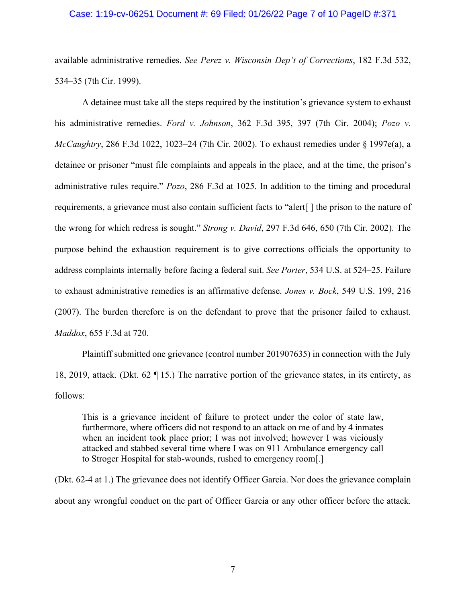# Case: 1:19-cv-06251 Document #: 69 Filed: 01/26/22 Page 7 of 10 PageID #:371

available administrative remedies. *See Perez v. Wisconsin Dep't of Corrections*, 182 F.3d 532, 534–35 (7th Cir. 1999).

A detainee must take all the steps required by the institution's grievance system to exhaust his administrative remedies. *Ford v. Johnson*, 362 F.3d 395, 397 (7th Cir. 2004); *Pozo v. McCaughtry*, 286 F.3d 1022, 1023–24 (7th Cir. 2002). To exhaust remedies under § 1997e(a), a detainee or prisoner "must file complaints and appeals in the place, and at the time, the prison's administrative rules require." *Pozo*, 286 F.3d at 1025. In addition to the timing and procedural requirements, a grievance must also contain sufficient facts to "alert[ ] the prison to the nature of the wrong for which redress is sought." *Strong v. David*, 297 F.3d 646, 650 (7th Cir. 2002). The purpose behind the exhaustion requirement is to give corrections officials the opportunity to address complaints internally before facing a federal suit. *See Porter*, 534 U.S. at 524–25. Failure to exhaust administrative remedies is an affirmative defense. *Jones v. Bock*, 549 U.S. 199, 216 (2007). The burden therefore is on the defendant to prove that the prisoner failed to exhaust. *Maddox*, 655 F.3d at 720.

Plaintiff submitted one grievance (control number 201907635) in connection with the July 18, 2019, attack. (Dkt. 62 ¶ 15.) The narrative portion of the grievance states, in its entirety, as follows:

This is a grievance incident of failure to protect under the color of state law, furthermore, where officers did not respond to an attack on me of and by 4 inmates when an incident took place prior; I was not involved; however I was viciously attacked and stabbed several time where I was on 911 Ambulance emergency call to Stroger Hospital for stab-wounds, rushed to emergency room[.]

(Dkt. 62-4 at 1.) The grievance does not identify Officer Garcia. Nor does the grievance complain about any wrongful conduct on the part of Officer Garcia or any other officer before the attack.

7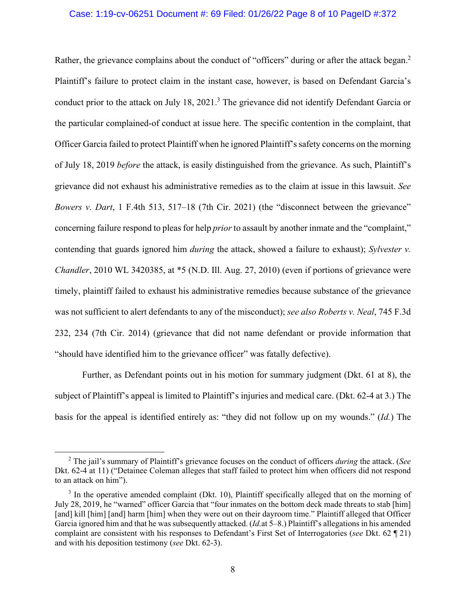# Case: 1:19-cv-06251 Document #: 69 Filed: 01/26/22 Page 8 of 10 PageID #:372

Rather, the grievance complains about the conduct of "officers" during or after the attack began.<sup>2</sup> Plaintiff's failure to protect claim in the instant case, however, is based on Defendant Garcia's conduct prior to the attack on July 18, 2021.<sup>3</sup> The grievance did not identify Defendant Garcia or the particular complained-of conduct at issue here. The specific contention in the complaint, that Officer Garcia failed to protect Plaintiff when he ignored Plaintiff's safety concerns on the morning of July 18, 2019 *before* the attack, is easily distinguished from the grievance. As such, Plaintiff's grievance did not exhaust his administrative remedies as to the claim at issue in this lawsuit. *See Bowers v. Dart*, 1 F.4th 513, 517–18 (7th Cir. 2021) (the "disconnect between the grievance" concerning failure respond to pleas for help *prior* to assault by another inmate and the "complaint," contending that guards ignored him *during* the attack, showed a failure to exhaust); *Sylvester v. Chandler*, 2010 WL 3420385, at \*5 (N.D. Ill. Aug. 27, 2010) (even if portions of grievance were timely, plaintiff failed to exhaust his administrative remedies because substance of the grievance was not sufficient to alert defendants to any of the misconduct); *see also Roberts v. Neal*, 745 F.3d 232, 234 (7th Cir. 2014) (grievance that did not name defendant or provide information that "should have identified him to the grievance officer" was fatally defective).

Further, as Defendant points out in his motion for summary judgment (Dkt. 61 at 8), the subject of Plaintiff's appeal is limited to Plaintiff's injuries and medical care. (Dkt. 62-4 at 3.) The basis for the appeal is identified entirely as: "they did not follow up on my wounds." (*Id.*) The

<sup>2</sup> The jail's summary of Plaintiff's grievance focuses on the conduct of officers *during* the attack. (*See*  Dkt. 62-4 at 11) ("Detainee Coleman alleges that staff failed to protect him when officers did not respond to an attack on him").

<sup>&</sup>lt;sup>3</sup> In the operative amended complaint (Dkt. 10), Plaintiff specifically alleged that on the morning of July 28, 2019, he "warned" officer Garcia that "four inmates on the bottom deck made threats to stab [him] [and] kill [him] [and] harm [him] when they were out on their dayroom time." Plaintiff alleged that Officer Garcia ignored him and that he was subsequently attacked. (*Id.*at 5–8.) Plaintiff's allegations in his amended complaint are consistent with his responses to Defendant's First Set of Interrogatories (*see* Dkt. 62 ¶ 21) and with his deposition testimony (*see* Dkt. 62-3).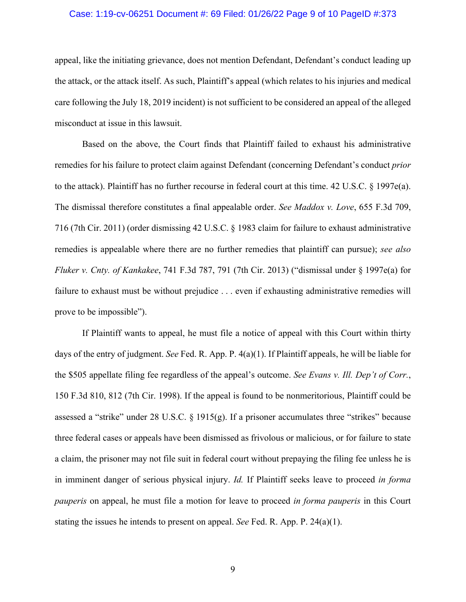# Case: 1:19-cv-06251 Document #: 69 Filed: 01/26/22 Page 9 of 10 PageID #:373

appeal, like the initiating grievance, does not mention Defendant, Defendant's conduct leading up the attack, or the attack itself. As such, Plaintiff's appeal (which relates to his injuries and medical care following the July 18, 2019 incident) is not sufficient to be considered an appeal of the alleged misconduct at issue in this lawsuit.

Based on the above, the Court finds that Plaintiff failed to exhaust his administrative remedies for his failure to protect claim against Defendant (concerning Defendant's conduct *prior*  to the attack). Plaintiff has no further recourse in federal court at this time. 42 U.S.C. § 1997e(a). The dismissal therefore constitutes a final appealable order. *See Maddox v. Love*, 655 F.3d 709, 716 (7th Cir. 2011) (order dismissing 42 U.S.C. § 1983 claim for failure to exhaust administrative remedies is appealable where there are no further remedies that plaintiff can pursue); *see also Fluker v. Cnty. of Kankakee*, 741 F.3d 787, 791 (7th Cir. 2013) ("dismissal under § 1997e(a) for failure to exhaust must be without prejudice . . . even if exhausting administrative remedies will prove to be impossible").

If Plaintiff wants to appeal, he must file a notice of appeal with this Court within thirty days of the entry of judgment. *See* Fed. R. App. P. 4(a)(1). If Plaintiff appeals, he will be liable for the \$505 appellate filing fee regardless of the appeal's outcome. *See Evans v. Ill. Dep't of Corr.*, 150 F.3d 810, 812 (7th Cir. 1998). If the appeal is found to be nonmeritorious, Plaintiff could be assessed a "strike" under 28 U.S.C.  $\S$  1915(g). If a prisoner accumulates three "strikes" because three federal cases or appeals have been dismissed as frivolous or malicious, or for failure to state a claim, the prisoner may not file suit in federal court without prepaying the filing fee unless he is in imminent danger of serious physical injury. *Id.* If Plaintiff seeks leave to proceed *in forma pauperis* on appeal, he must file a motion for leave to proceed *in forma pauperis* in this Court stating the issues he intends to present on appeal. *See* Fed. R. App. P. 24(a)(1).